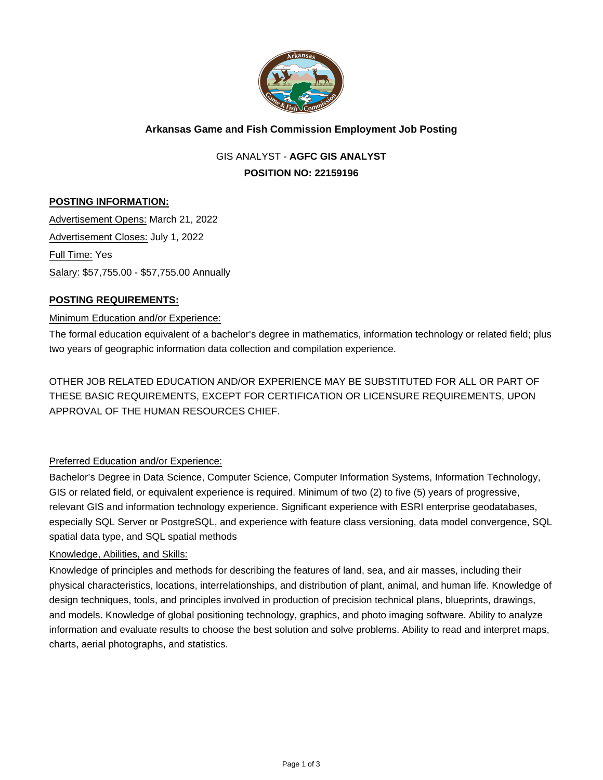

# **Arkansas Game and Fish Commission Employment Job Posting**

GIS ANALYST - **AGFC GIS ANALYST POSITION NO: 22159196**

# **POSTING INFORMATION:**

Advertisement Opens: March 21, 2022 Advertisement Closes: July 1, 2022 Full Time: Yes Salary: \$57,755.00 - \$57,755.00 Annually

### **POSTING REQUIREMENTS:**

#### Minimum Education and/or Experience:

The formal education equivalent of a bachelor's degree in mathematics, information technology or related field; plus two years of geographic information data collection and compilation experience.

OTHER JOB RELATED EDUCATION AND/OR EXPERIENCE MAY BE SUBSTITUTED FOR ALL OR PART OF THESE BASIC REQUIREMENTS, EXCEPT FOR CERTIFICATION OR LICENSURE REQUIREMENTS, UPON APPROVAL OF THE HUMAN RESOURCES CHIEF.

# Preferred Education and/or Experience:

Bachelor's Degree in Data Science, Computer Science, Computer Information Systems, Information Technology, GIS or related field, or equivalent experience is required. Minimum of two (2) to five (5) years of progressive, relevant GIS and information technology experience. Significant experience with ESRI enterprise geodatabases, especially SQL Server or PostgreSQL, and experience with feature class versioning, data model convergence, SQL spatial data type, and SQL spatial methods

#### Knowledge, Abilities, and Skills:

Knowledge of principles and methods for describing the features of land, sea, and air masses, including their physical characteristics, locations, interrelationships, and distribution of plant, animal, and human life. Knowledge of design techniques, tools, and principles involved in production of precision technical plans, blueprints, drawings, and models. Knowledge of global positioning technology, graphics, and photo imaging software. Ability to analyze information and evaluate results to choose the best solution and solve problems. Ability to read and interpret maps, charts, aerial photographs, and statistics.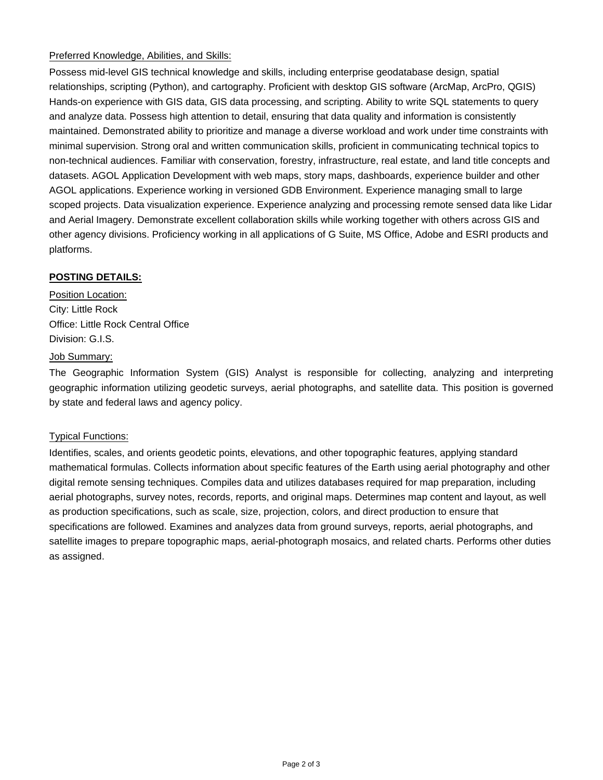# Preferred Knowledge, Abilities, and Skills:

Possess mid-level GIS technical knowledge and skills, including enterprise geodatabase design, spatial relationships, scripting (Python), and cartography. Proficient with desktop GIS software (ArcMap, ArcPro, QGIS) Hands-on experience with GIS data, GIS data processing, and scripting. Ability to write SQL statements to query and analyze data. Possess high attention to detail, ensuring that data quality and information is consistently maintained. Demonstrated ability to prioritize and manage a diverse workload and work under time constraints with minimal supervision. Strong oral and written communication skills, proficient in communicating technical topics to non-technical audiences. Familiar with conservation, forestry, infrastructure, real estate, and land title concepts and datasets. AGOL Application Development with web maps, story maps, dashboards, experience builder and other AGOL applications. Experience working in versioned GDB Environment. Experience managing small to large scoped projects. Data visualization experience. Experience analyzing and processing remote sensed data like Lidar and Aerial Imagery. Demonstrate excellent collaboration skills while working together with others across GIS and other agency divisions. Proficiency working in all applications of G Suite, MS Office, Adobe and ESRI products and platforms.

# **POSTING DETAILS:**

Position Location: City: Little Rock Office: Little Rock Central Office Division: G.I.S.

### Job Summary:

The Geographic Information System (GIS) Analyst is responsible for collecting, analyzing and interpreting geographic information utilizing geodetic surveys, aerial photographs, and satellite data. This position is governed by state and federal laws and agency policy.

# Typical Functions:

Identifies, scales, and orients geodetic points, elevations, and other topographic features, applying standard mathematical formulas. Collects information about specific features of the Earth using aerial photography and other digital remote sensing techniques. Compiles data and utilizes databases required for map preparation, including aerial photographs, survey notes, records, reports, and original maps. Determines map content and layout, as well as production specifications, such as scale, size, projection, colors, and direct production to ensure that specifications are followed. Examines and analyzes data from ground surveys, reports, aerial photographs, and satellite images to prepare topographic maps, aerial-photograph mosaics, and related charts. Performs other duties as assigned.